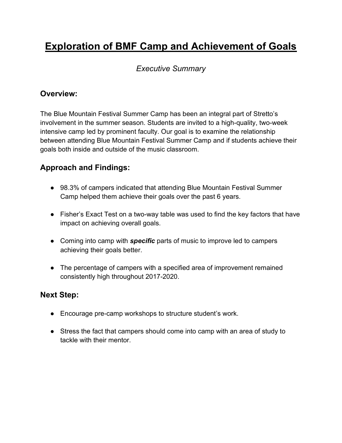# Exploration of BMF Camp and Achievement of Goals

## Executive Summary

#### Overview:

The Blue Mountain Festival Summer Camp has been an integral part of Stretto's involvement in the summer season. Students are invited to a high-quality, two-week intensive camp led by prominent faculty. Our goal is to examine the relationship between attending Blue Mountain Festival Summer Camp and if students achieve their goals both inside and outside of the music classroom.

## Approach and Findings:

- 98.3% of campers indicated that attending Blue Mountain Festival Summer Camp helped them achieve their goals over the past 6 years.
- Fisher's Exact Test on a two-way table was used to find the key factors that have impact on achieving overall goals.
- Coming into camp with **specific** parts of music to improve led to campers achieving their goals better.
- The percentage of campers with a specified area of improvement remained consistently high throughout 2017-2020.

## Next Step:

- Encourage pre-camp workshops to structure student's work.
- Stress the fact that campers should come into camp with an area of study to tackle with their mentor.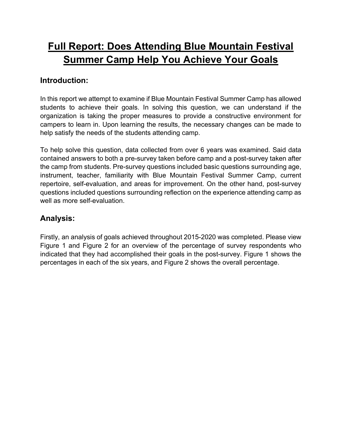## Full Report: Does Attending Blue Mountain Festival Summer Camp Help You Achieve Your Goals

#### Introduction:

In this report we attempt to examine if Blue Mountain Festival Summer Camp has allowed students to achieve their goals. In solving this question, we can understand if the organization is taking the proper measures to provide a constructive environment for campers to learn in. Upon learning the results, the necessary changes can be made to help satisfy the needs of the students attending camp.

To help solve this question, data collected from over 6 years was examined. Said data contained answers to both a pre-survey taken before camp and a post-survey taken after the camp from students. Pre-survey questions included basic questions surrounding age, instrument, teacher, familiarity with Blue Mountain Festival Summer Camp, current repertoire, self-evaluation, and areas for improvement. On the other hand, post-survey questions included questions surrounding reflection on the experience attending camp as well as more self-evaluation.

#### Analysis:

Firstly, an analysis of goals achieved throughout 2015-2020 was completed. Please view Figure 1 and Figure 2 for an overview of the percentage of survey respondents who indicated that they had accomplished their goals in the post-survey. Figure 1 shows the percentages in each of the six years, and Figure 2 shows the overall percentage.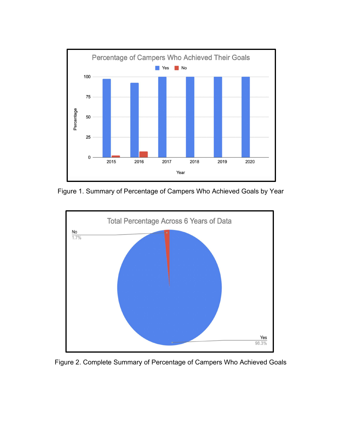

Figure 1. Summary of Percentage of Campers Who Achieved Goals by Year



Figure 2. Complete Summary of Percentage of Campers Who Achieved Goals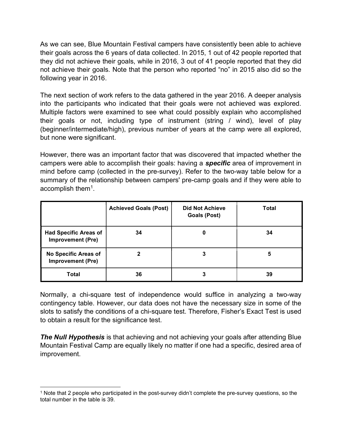As we can see, Blue Mountain Festival campers have consistently been able to achieve their goals across the 6 years of data collected. In 2015, 1 out of 42 people reported that they did not achieve their goals, while in 2016, 3 out of 41 people reported that they did not achieve their goals. Note that the person who reported "no" in 2015 also did so the following year in 2016.

The next section of work refers to the data gathered in the year 2016. A deeper analysis into the participants who indicated that their goals were not achieved was explored. Multiple factors were examined to see what could possibly explain who accomplished their goals or not, including type of instrument (string / wind), level of play (beginner/intermediate/high), previous number of years at the camp were all explored, but none were significant.

However, there was an important factor that was discovered that impacted whether the campers were able to accomplish their goals: having a **specific** area of improvement in mind before camp (collected in the pre-survey). Refer to the two-way table below for a summary of the relationship between campers' pre-camp goals and if they were able to accomplish them<sup>1</sup> .

|                                                          | <b>Achieved Goals (Post)</b> | <b>Did Not Achieve</b><br><b>Goals (Post)</b> | Total |
|----------------------------------------------------------|------------------------------|-----------------------------------------------|-------|
| <b>Had Specific Areas of</b><br><b>Improvement (Pre)</b> | 34                           | 0                                             | 34    |
| No Specific Areas of<br><b>Improvement (Pre)</b>         |                              | 3                                             | 5     |
| Total                                                    | 36                           | 3                                             | 39    |

Normally, a chi-square test of independence would suffice in analyzing a two-way contingency table. However, our data does not have the necessary size in some of the slots to satisfy the conditions of a chi-square test. Therefore, Fisher's Exact Test is used to obtain a result for the significance test.

**The Null Hypothesis** is that achieving and not achieving your goals after attending Blue Mountain Festival Camp are equally likely no matter if one had a specific, desired area of improvement.

<sup>1</sup> Note that 2 people who participated in the post-survey didn't complete the pre-survey questions, so the total number in the table is 39.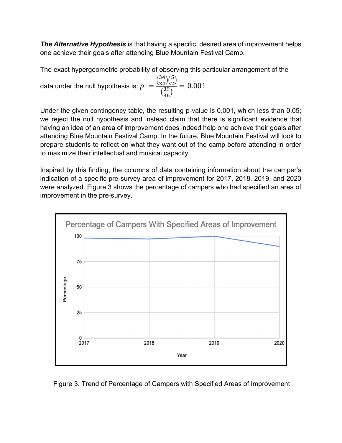**The Alternative Hypothesis** is that having a specific, desired area of improvement helps one achieve their goals after attending Blue Mountain Festival Camp.

The exact hypergeometric probability of observing this particular arrangement of the

data under the null hypothesis is:  $p\;=\;$  $\binom{34}{34}\binom{5}{2}$  $\binom{39}{36}$  $= 0.001$ 

Under the given contingency table, the resulting p-value is 0.001, which less than 0.05; we reject the null hypothesis and instead claim that there is significant evidence that having an idea of an area of improvement does indeed help one achieve their goals after attending Blue Mountain Festival Camp. In the future, Blue Mountain Festival will look to prepare students to reflect on what they want out of the camp before attending in order to maximize their intellectual and musical capacity.

Inspired by this finding, the columns of data containing information about the camper's indication of a specific pre-survey area of improvement for 2017, 2018, 2019, and 2020 were analyzed. Figure 3 shows the percentage of campers who had specified an area of improvement in the pre-survey.



Figure 3. Trend of Percentage of Campers with Specified Areas of Improvement